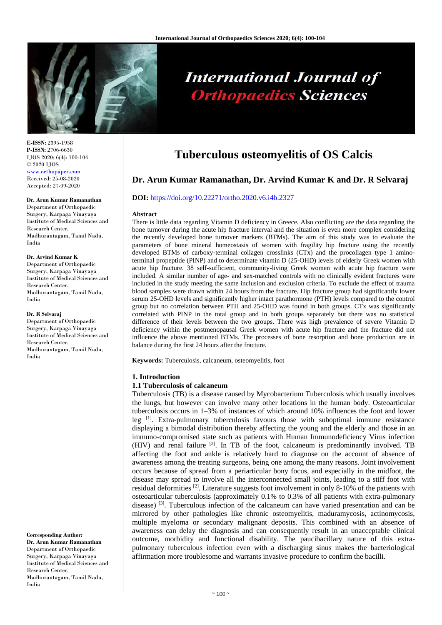

# **International Journal of Orthopaedics Sciences**

**E-ISSN:** 2395-1958 **P-ISSN:** 2706-6630 IJOS 2020; 6(4): 100-104 © 2020 IJOS www.orthopape Received: 25-08-2020

Accepted: 27-09-2020

## **Dr. Arun Kumar Ramanathan**

Department of Orthopaedic Surgery, Karpaga Vinayaga Institute of Medical Sciences and Research Center, Madhurantagam, Tamil Nadu, India

#### **Dr. Arvind Kumar K**

Department of Orthopaedic Surgery, Karpaga Vinayaga Institute of Medical Sciences and Research Center, Madhurantagam, Tamil Nadu, India

#### **Dr. R Selvaraj**

Department of Orthopaedic Surgery, Karpaga Vinayaga Institute of Medical Sciences and Research Center, Madhurantagam, Tamil Nadu, India

**Corresponding Author: Dr. Arun Kumar Ramanathan** Department of Orthopaedic Surgery, Karpaga Vinayaga Institute of Medical Sciences and Research Center, Madhurantagam, Tamil Nadu, India

# **Tuberculous osteomyelitis of OS Calcis**

# **Dr. Arun Kumar Ramanathan, Dr. Arvind Kumar K and Dr. R Selvaraj**

#### **DOI:** <https://doi.org/10.22271/ortho.2020.v6.i4b.2327>

#### **Abstract**

There is little data regarding Vitamin D deficiency in Greece. Also conflicting are the data regarding the bone turnover during the acute hip fracture interval and the situation is even more complex considering the recently developed bone turnover markers (BTMs). The aim of this study was to evaluate the parameters of bone mineral homeostasis of women with fragility hip fracture using the recently developed BTMs of carboxy-terminal collagen crosslinks (CTx) and the procollagen type 1 aminoterminal propeptide (PINP) and to determinate vitamin D (25-OHD) levels of elderly Greek women with acute hip fracture. 38 self-sufficient, community-living Greek women with acute hip fracture were included. A similar number of age- and sex-matched controls with no clinically evident fractures were included in the study meeting the same inclusion and exclusion criteria. To exclude the effect of trauma blood samples were drawn within 24 hours from the fracture. Hip fracture group had significantly lower serum 25-OHD levels and significantly higher intact parathormone (PTH) levels compared to the control group but no correlation between PTH and 25-OHD was found in both groups. CTx was significantly correlated with PINP in the total group and in both groups separately but there was no statistical difference of their levels between the two groups. There was high prevalence of severe Vitamin D deficiency within the postmenopausal Greek women with acute hip fracture and the fracture did not influence the above mentioned BTMs. The processes of bone resorption and bone production are in balance during the first 24 hours after the fracture.

**Keywords:** Tuberculosis, calcaneum, osteomyelitis, foot

## **1. Introduction**

# **1.1 Tuberculosis of calcaneum**

Tuberculosis (TB) is a disease caused by Mycobacterium Tuberculosis which usually involves the lungs, but however can involve many other locations in the human body. Osteoarticular tuberculosis occurs in 1–3% of instances of which around 10% influences the foot and lower leg [1]. Extra-pulmonary tuberculosis favours those with suboptimal immune resistance displaying a bimodal distribution thereby affecting the young and the elderly and those in an immuno-compromised state such as patients with Human Immunodeficiency Virus infection (HIV) and renal failure [2]. In TB of the foot, calcaneum is predominantly involved. TB affecting the foot and ankle is relatively hard to diagnose on the account of absence of awareness among the treating surgeons, being one among the many reasons. Joint involvement occurs because of spread from a periarticular bony focus, and especially in the midfoot, the disease may spread to involve all the interconnected small joints, leading to a stiff foot with residual deformities  $^{[2]}$ . Literature suggests foot involvement in only 8-10% of the patients with osteoarticular tuberculosis (approximately 0.1% to 0.3% of all patients with extra-pulmonary disease)  $^{[3]}$ . Tuberculous infection of the calcaneum can have varied presentation and can be mirrored by other pathologies like chronic osteomyelitis, maduramycosis, actinomycosis, multiple myeloma or secondary malignant deposits. This combined with an absence of awareness can delay the diagnosis and can consequently result in an unacceptable clinical outcome, morbidity and functional disability. The paucibacillary nature of this extrapulmonary tuberculous infection even with a discharging sinus makes the bacteriological affirmation more troublesome and warrants invasive procedure to confirm the bacilli.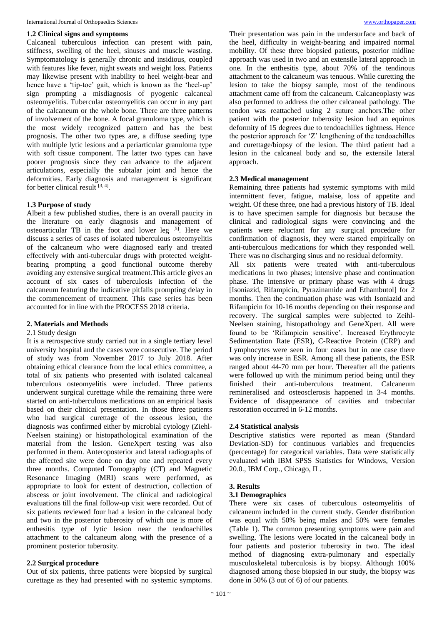#### **1.2 Clinical signs and symptoms**

Calcaneal tuberculous infection can present with pain, stiffness, swelling of the heel, sinuses and muscle wasting. Symptomatology is generally chronic and insidious, coupled with features like fever, night sweats and weight loss. Patients may likewise present with inability to heel weight-bear and hence have a 'tip-toe' gait, which is known as the 'heel-up' sign prompting a misdiagnosis of pyogenic calcaneal osteomyelitis. Tubercular osteomyelitis can occur in any part of the calcaneum or the whole bone. There are three patterns of involvement of the bone. A focal granuloma type, which is the most widely recognized pattern and has the best prognosis. The other two types are, a diffuse seeding type with multiple lytic lesions and a periarticular granuloma type with soft tissue component. The latter two types can have poorer prognosis since they can advance to the adjacent articulations, especially the subtalar joint and hence the deformities. Early diagnosis and management is significant for better clinical result  $[3, 4]$ .

#### **1.3 Purpose of study**

Albeit a few published studies, there is an overall paucity in the literature on early diagnosis and management of osteoarticular TB in the foot and lower leg [5]. Here we discuss a series of cases of isolated tuberculous osteomyelitis of the calcaneum who were diagnosed early and treated effectively with anti-tubercular drugs with protected weightbearing prompting a good functional outcome thereby avoiding any extensive surgical treatment.This article gives an account of six cases of tuberculosis infection of the calcaneum featuring the indicative pitfalls prompting delay in the commencement of treatment. This case series has been accounted for in line with the PROCESS 2018 criteria.

#### **2. Materials and Methods**

#### 2.1 Study design

It is a retrospective study carried out in a single tertiary level university hospital and the cases were consecutive. The period of study was from November 2017 to July 2018. After obtaining ethical clearance from the local ethics committee, a total of six patients who presented with isolated calcaneal tuberculous osteomyelitis were included. Three patients underwent surgical curettage while the remaining three were started on anti-tuberculous medications on an empirical basis based on their clinical presentation. In those three patients who had surgical curettage of the osseous lesion, the diagnosis was confirmed either by microbial cytology (Ziehl-Neelsen staining) or histopathological examination of the material from the lesion. GeneXpert testing was also performed in them. Anteroposterior and lateral radiographs of the affected site were done on day one and repeated every three months. Computed Tomography (CT) and Magnetic Resonance Imaging (MRI) scans were performed, as appropriate to look for extent of destruction, collection of abscess or joint involvement. The clinical and radiological evaluations till the final follow-up visit were recorded. Out of six patients reviewed four had a lesion in the calcaneal body and two in the posterior tuberosity of which one is more of enthesitis type of lytic lesion near the tendoachilles attachment to the calcaneum along with the presence of a prominent posterior tuberosity.

# **2.2 Surgical procedure**

Out of six patients, three patients were biopsied by surgical curettage as they had presented with no systemic symptoms. Their presentation was pain in the undersurface and back of the heel, difficulty in weight-bearing and impaired normal mobility. Of these three biopsied patients, posterior midline approach was used in two and an extensile lateral approach in one. In the enthesitis type, about 70% of the tendinous attachment to the calcaneum was tenuous. While curetting the lesion to take the biopsy sample, most of the tendinous attachment came off from the calcaneum. Calcaneoplasty was also performed to address the other calcaneal pathology. The tendon was reattached using 2 suture anchors.The other patient with the posterior tuberosity lesion had an equinus deformity of 15 degrees due to tendoachilles tightness. Hence the posterior approach for 'Z' lengthening of the tendoachilles and curettage/biopsy of the lesion. The third patient had a lesion in the calcaneal body and so, the extensile lateral approach.

#### **2.3 Medical management**

Remaining three patients had systemic symptoms with mild intermittent fever, fatigue, malaise, loss of appetite and weight. Of these three, one had a previous history of TB. Ideal is to have specimen sample for diagnosis but because the clinical and radiological signs were convincing and the patients were reluctant for any surgical procedure for confirmation of diagnosis, they were started empirically on anti-tuberculous medications for which they responded well. There was no discharging sinus and no residual deformity.

All six patients were treated with anti-tuberculous medications in two phases; intensive phase and continuation phase. The intensive or primary phase was with 4 drugs [Isoniazid, Rifampicin, Pyrazinamide and Ethambutol] for 2 months. Then the continuation phase was with Isoniazid and Rifampicin for 10-16 months depending on their response and recovery. The surgical samples were subjected to Zeihl-Neelsen staining, histopathology and GeneXpert. All were found to be 'Rifampicin sensitive'. Increased Erythrocyte Sedimentation Rate (ESR), C-Reactive Protein (CRP) and Lymphocytes were seen in four cases but in one case there was only increase in ESR. Among all these patients, the ESR ranged about 44-70 mm per hour. Thereafter all the patients were followed up with the minimum period being until they finished their anti-tuberculous treatment. Calcaneum remineralised and osteosclerosis happened in 3-4 months. Evidence of disappearance of cavities and trabecular restoration occurred in 6-12 months.

#### **2.4 Statistical analysis**

Descriptive statistics were reported as mean (Standard Deviation-SD) for continuous variables and frequencies (percentage) for categorical variables. Data were statistically evaluated with IBM SPSS Statistics for Windows, Version 20.0., IBM Corp., Chicago, IL.

#### **3. Results**

#### **3.1 Demographics**

There were six cases of tuberculous osteomyelitis of calcaneum included in the current study. Gender distribution was equal with 50% being males and 50% were females (Table 1). The common presenting symptoms were pain and swelling. The lesions were located in the calcaneal body in four patients and posterior tuberosity in two. The ideal method of diagnosing extra-pulmonary and especially musculoskeletal tuberculosis is by biopsy. Although 100% diagnosed among those biopsied in our study, the biopsy was done in 50% (3 out of 6) of our patients.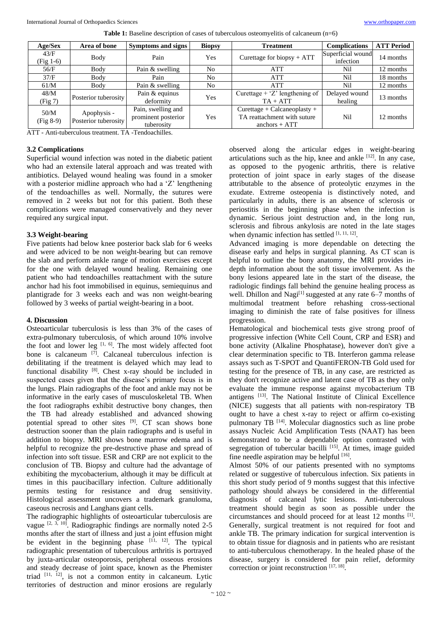| Age/Sex             | Area of bone                        | Symptoms and signs  | <b>Biopsy</b> | <b>Treatment</b>                   | <b>Complications</b> | <b>ATT Period</b> |
|---------------------|-------------------------------------|---------------------|---------------|------------------------------------|----------------------|-------------------|
| 43/F                | Body                                | Pain                | Yes           | Curettage for biopsy $+$ ATT       | Superficial wound    | 14 months         |
| $(Fig 1-6)$         |                                     |                     |               |                                    | infection            |                   |
| 56/F                | Body                                | Pain & swelling     | No            | <b>ATT</b>                         | Nil                  | 12 months         |
| 37/F                | Body                                | Pain                | No            | <b>ATT</b>                         | Nil                  | 18 months         |
| 61/M                | Body                                | Pain & swelling     | No            | ATT                                | Nil                  | 12 months         |
| 48/M                | Posterior tuberosity                | Pain & equinus      | Yes           | Curettage + ' $Z$ ' lengthening of | Delayed wound        | 13 months         |
| (Fig 7)             |                                     | deformity           |               | $TA + ATT$                         | healing              |                   |
| 50/M<br>$(Fig 8-9)$ | Apophysis -<br>Posterior tuberosity | Pain, swelling and  | <b>Yes</b>    | $Currentage + Calcaneoplasty +$    | Nil                  | 12 months         |
|                     |                                     | prominent posterior |               | TA reattachment with suture        |                      |                   |
|                     |                                     | tuberosity          |               | anchors $+$ ATT                    |                      |                   |

ATT - Anti-tuberculous treatment. TA -Tendoachilles.

#### **3.2 Complications**

Superficial wound infection was noted in the diabetic patient who had an extensile lateral approach and was treated with antibiotics. Delayed wound healing was found in a smoker with a posterior midline approach who had a 'Z' lengthening of the tendoachilles as well. Normally, the sutures were removed in 2 weeks but not for this patient. Both these complications were managed conservatively and they never required any surgical input.

#### **3.3 Weight-bearing**

Five patients had below knee posterior back slab for 6 weeks and were adviced to be non weight-bearing but can remove the slab and perform ankle range of motion exercises except for the one with delayed wound healing. Remaining one patient who had tendoachilles reattachment with the suture anchor had his foot immobilised in equinus, semiequinus and plantigrade for 3 weeks each and was non weight-bearing followed by 3 weeks of partial weight-bearing in a boot.

#### **4. Discussion**

Osteoarticular tuberculosis is less than 3% of the cases of extra-pulmonary tuberculosis, of which around 10% involve the foot and lower leg  $[1, 6]$ . The most widely affected foot bone is calcaneum [7]. Calcaneal tuberculous infection is debilitating if the treatment is delayed which may lead to functional disability [8]. Chest x-ray should be included in suspected cases given that the disease's primary focus is in the lungs. Plain radiographs of the foot and ankle may not be informative in the early cases of musculoskeletal TB. When the foot radiographs exhibit destructive bony changes, then the TB had already established and advanced showing potential spread to other sites  $[9]$ . CT scan shows bone destruction sooner than the plain radiographs and is useful in addition to biopsy. MRI shows bone marrow edema and is helpful to recognize the pre-destructive phase and spread of infection into soft tissue. ESR and CRP are not explicit to the conclusion of TB. Biopsy and culture had the advantage of exhibiting the mycobacterium, although it may be difficult at times in this paucibacillary infection. Culture additionally permits testing for resistance and drug sensitivity. Histological assessment uncovers a trademark granuloma, caseous necrosis and Langhans giant cells.

The radiographic highlights of osteoarticular tuberculosis are vague  $[2, 3, 10]$ . Radiographic findings are normally noted 2-5 months after the start of illness and just a joint effusion might be evident in the beginning phase  $[11, 12]$ . The typical radiographic presentation of tuberculous arthritis is portrayed by juxta-articular osteoporosis, peripheral osseous erosions and steady decrease of joint space, known as the Phemister triad  $[11, 12]$ , is not a common entity in calcaneum. Lytic territories of destruction and minor erosions are regularly

observed along the articular edges in weight-bearing articulations such as the hip, knee and ankle  $[12]$ . In any case, as opposed to the pyogenic arthritis, there is relative protection of joint space in early stages of the disease attributable to the absence of proteolytic enzymes in the exudate. Extreme osteopenia is distinctively noted, and particularly in adults, there is an absence of sclerosis or periostitis in the beginning phase when the infection is dynamic. Serious joint destruction and, in the long run, sclerosis and fibrous ankylosis are noted in the late stages when dynamic infection has settled  $[1, 11, 12]$ .

Advanced imaging is more dependable on detecting the disease early and helps in surgical planning. As CT scan is helpful to outline the bony anatomy, the MRI provides indepth information about the soft tissue involvement. As the bony lesions appeared late in the start of the disease, the radiologic findings fall behind the genuine healing process as well. Dhillon and Nagi<sup>[1]</sup> suggested at any rate  $6-7$  months of multimodal treatment before rehashing cross-sectional imaging to diminish the rate of false positives for illness progression.

Hematological and biochemical tests give strong proof of progressive infection (White Cell Count, CRP and ESR) and bone activity (Alkaline Phosphatase), however don't give a clear determination specific to TB. Interferon gamma release assays such as T-SPOT and QuantiFERON-TB Gold used for testing for the presence of TB, in any case, are restricted as they don't recognize active and latent case of TB as they only evaluate the immune response against mycobacterium TB antigens [13]. The National Institute of Clinical Excellence (NICE) suggests that all patients with non-respiratory TB ought to have a chest x-ray to reject or affirm co-existing pulmonary TB [14]. Molecular diagnostics such as line probe assays Nucleic Acid Amplification Tests (NAAT) has been demonstrated to be a dependable option contrasted with segregation of tubercular bacilli  $[15]$ . At times, image guided fine needle aspiration may be helpful [16].

Almost 50% of our patients presented with no symptoms related or suggestive of tuberculous infection. Six patients in this short study period of 9 months suggest that this infective pathology should always be considered in the differential diagnosis of calcaneal lytic lesions. Anti-tuberculous treatment should begin as soon as possible under the circumstances and should proceed for at least 12 months [1] . Generally, surgical treatment is not required for foot and ankle TB. The primary indication for surgical intervention is to obtain tissue for diagnosis and in patients who are resistant to anti-tuberculous chemotherapy. In the healed phase of the disease, surgery is considered for pain relief, deformity correction or joint reconstruction [17, 18] .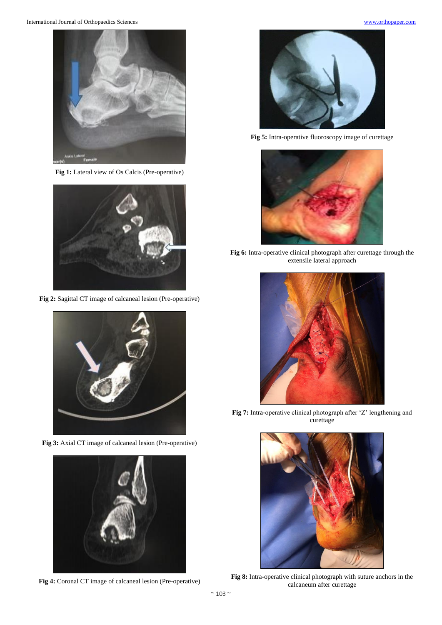

Fig 1: Lateral view of Os Calcis (Pre-operative)



**Fig 2:** Sagittal CT image of calcaneal lesion (Pre-operative)



**Fig 3:** Axial CT image of calcaneal lesion (Pre-operative)



**Fig 4:** Coronal CT image of calcaneal lesion (Pre-operative)



**Fig 5:** Intra-operative fluoroscopy image of curettage



**Fig 6:** Intra-operative clinical photograph after curettage through the extensile lateral approach



**Fig 7:** Intra-operative clinical photograph after 'Z' lengthening and curettage



**Fig 8:** Intra-operative clinical photograph with suture anchors in the calcaneum after curettage